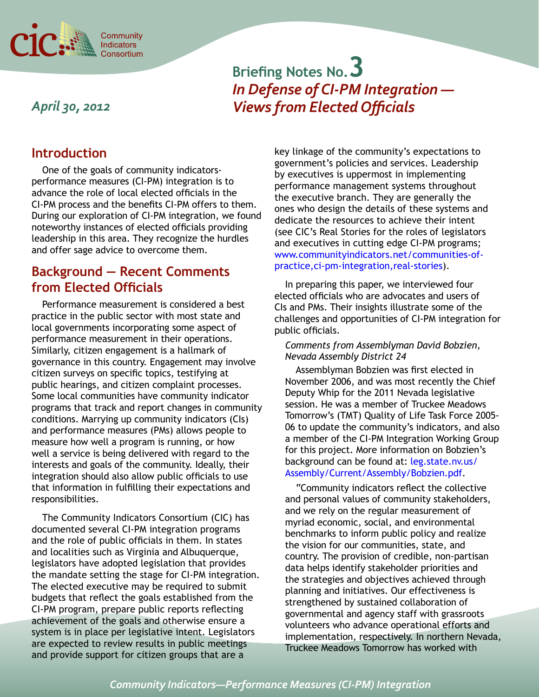

# **Briefing Notes No.3** *In Defense of CI-PM Integration — Views from Elected Officials*

## *April 30, 2012*

## **Introduction**

One of the goals of community indicatorsperformance measures (CI-PM) integration is to advance the role of local elected officials in the CI-PM process and the benefits CI-PM offers to them. During our exploration of CI-PM integration, we found noteworthy instances of elected officials providing leadership in this area. They recognize the hurdles and offer sage advice to overcome them.

## **Background — Recent Comments from Elected Officials**

Performance measurement is considered a best practice in the public sector with most state and local governments incorporating some aspect of performance measurement in their operations. Similarly, citizen engagement is a hallmark of governance in this country. Engagement may involve citizen surveys on specific topics, testifying at public hearings, and citizen complaint processes. Some local communities have community indicator programs that track and report changes in community conditions. Marrying up community indicators (CIs) and performance measures (PMs) allows people to measure how well a program is running, or how well a service is being delivered with regard to the interests and goals of the community. Ideally, their integration should also allow public officials to use that information in fulfilling their expectations and responsibilities.

The Community Indicators Consortium (CIC) has documented several CI-PM integration programs and the role of public officials in them. In states and localities such as Virginia and Albuquerque, legislators have adopted legislation that provides the mandate setting the stage for CI-PM integration. The elected executive may be required to submit budgets that reflect the goals established from the CI-PM program, prepare public reports reflecting achievement of the goals and otherwise ensure a system is in place per legislative intent. Legislators are expected to review results in public meetings and provide support for citizen groups that are a

key linkage of the community's expectations to government's policies and services. Leadership by executives is uppermost in implementing performance management systems throughout the executive branch. They are generally the ones who design the details of these systems and dedicate the resources to achieve their intent (see CIC's Real Stories for the roles of legislators and executives in cutting edge CI-PM programs; www.communityindicators.net/communities-ofpractice,ci-pm-integration,real-stories).

In preparing this paper, we interviewed four elected officials who are advocates and users of CIs and PMs. Their insights illustrate some of the challenges and opportunities of CI-PM integration for public officials.

#### *Comments from Assemblyman David Bobzien, Nevada Assembly District 24*

Assemblyman Bobzien was first elected in November 2006, and was most recently the Chief Deputy Whip for the 2011 Nevada legislative session. He was a member of Truckee Meadows Tomorrow's (TMT) Quality of Life Task Force 2005- 06 to update the community's indicators, and also a member of the CI-PM Integration Working Group for this project. More information on Bobzien's background can be found at: [leg.state.nv.us/](http://leg.state.nv.us/Assembly/Current/Assembly/Bobzien.pdf) [Assembly/Current/Assembly/Bobzien.pdf](http://leg.state.nv.us/Assembly/Current/Assembly/Bobzien.pdf).

"Community indicators reflect the collective and personal values of community stakeholders, and we rely on the regular measurement of myriad economic, social, and environmental benchmarks to inform public policy and realize the vision for our communities, state, and country. The provision of credible, non-partisan data helps identify stakeholder priorities and the strategies and objectives achieved through planning and initiatives. Our effectiveness is strengthened by sustained collaboration of governmental and agency staff with grassroots volunteers who advance operational efforts and implementation, respectively. In northern Nevada, Truckee Meadows Tomorrow has worked with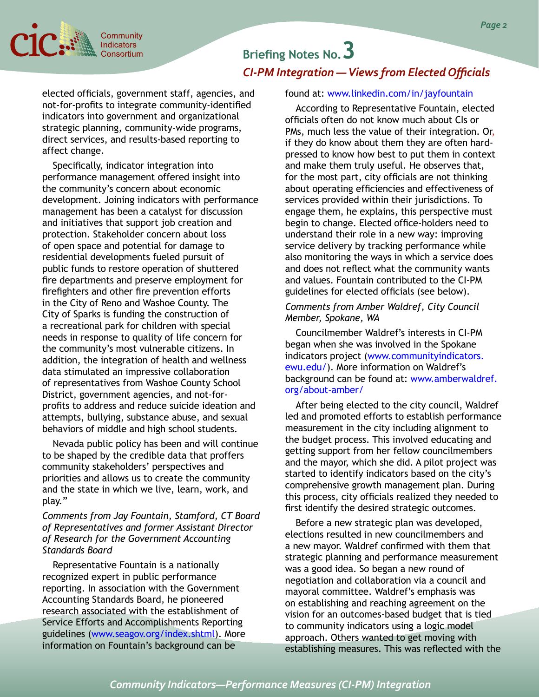

## **Briefing Notes No.3** *CI-PM Integration — Views from Elected Officials*

elected officials, government staff, agencies, and not-for-profits to integrate community-identified indicators into government and organizational strategic planning, community-wide programs, direct services, and results-based reporting to affect change.

Specifically, indicator integration into performance management offered insight into the community's concern about economic development. Joining indicators with performance management has been a catalyst for discussion and initiatives that support job creation and protection. Stakeholder concern about loss of open space and potential for damage to residential developments fueled pursuit of public funds to restore operation of shuttered fire departments and preserve employment for firefighters and other fire prevention efforts in the City of Reno and Washoe County. The City of Sparks is funding the construction of a recreational park for children with special needs in response to quality of life concern for the community's most vulnerable citizens. In addition, the integration of health and wellness data stimulated an impressive collaboration of representatives from Washoe County School District, government agencies, and not-forprofits to address and reduce suicide ideation and attempts, bullying, substance abuse, and sexual behaviors of middle and high school students.

Nevada public policy has been and will continue to be shaped by the credible data that proffers community stakeholders' perspectives and priorities and allows us to create the community and the state in which we live, learn, work, and play."

*Comments from Jay Fountain, Stamford, CT Board of Representatives and former Assistant Director of Research for the Government Accounting Standards Board* 

Representative Fountain is a nationally recognized expert in public performance reporting. In association with the Government Accounting Standards Board, he pioneered research associated with the establishment of Service Efforts and Accomplishments Reporting guidelines (www.seagov.org/index.shtml). More information on Fountain's background can be

#### found at: [www.linkedin.com/in/jayfountain](http://www.linkedin.com/in/jayfountain)

According to Representative Fountain, elected officials often do not know much about CIs or PMs, much less the value of their integration. Or, if they do know about them they are often hardpressed to know how best to put them in context and make them truly useful. He observes that, for the most part, city officials are not thinking about operating efficiencies and effectiveness of services provided within their jurisdictions. To engage them, he explains, this perspective must begin to change. Elected office-holders need to understand their role in a new way: improving service delivery by tracking performance while also monitoring the ways in which a service does and does not reflect what the community wants and values. Fountain contributed to the CI-PM guidelines for elected officials (see below).

*Comments from Amber Waldref, City Council Member, Spokane, WA* 

Councilmember Waldref's interests in CI-PM began when she was involved in the Spokane indicators project ([www.communityindicators.](http://www.communityindicators.ewu.edu/) [ewu.edu/](http://www.communityindicators.ewu.edu/)). More information on Waldref's background can be found at: [www.amberwaldref.](http://www.amberwaldref.org/about-amber/ ) [org/about-amber/](http://www.amberwaldref.org/about-amber/ )

After being elected to the city council, Waldref led and promoted efforts to establish performance measurement in the city including alignment to the budget process. This involved educating and getting support from her fellow councilmembers and the mayor, which she did. A pilot project was started to identify indicators based on the city's comprehensive growth management plan. During this process, city officials realized they needed to first identify the desired strategic outcomes.

Before a new strategic plan was developed, elections resulted in new councilmembers and a new mayor. Waldref confirmed with them that strategic planning and performance measurement was a good idea. So began a new round of negotiation and collaboration via a council and mayoral committee. Waldref's emphasis was on establishing and reaching agreement on the vision for an outcomes-based budget that is tied to community indicators using a logic model approach. Others wanted to get moving with establishing measures. This was reflected with the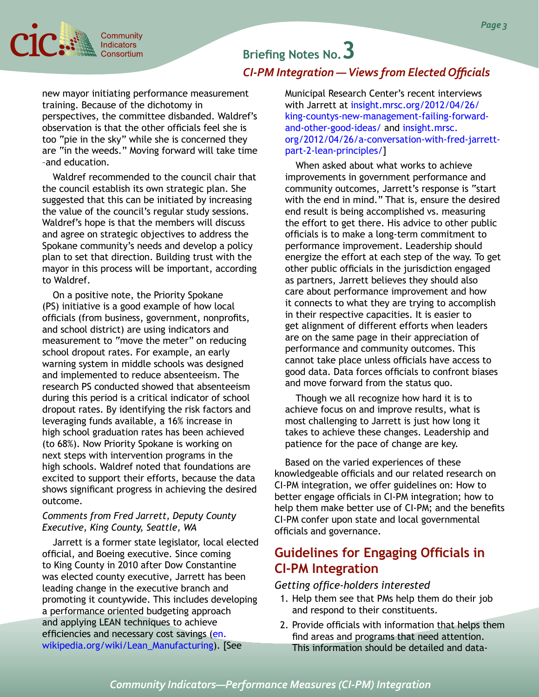

# **Briefing Notes No.3** *CI-PM Integration — Views from Elected Officials*

new mayor initiating performance measurement training. Because of the dichotomy in perspectives, the committee disbanded. Waldref's observation is that the other officials feel she is too "pie in the sky" while she is concerned they are "in the weeds." Moving forward will take time –and education.

Waldref recommended to the council chair that the council establish its own strategic plan. She suggested that this can be initiated by increasing the value of the council's regular study sessions. Waldref's hope is that the members will discuss and agree on strategic objectives to address the Spokane community's needs and develop a policy plan to set that direction. Building trust with the mayor in this process will be important, according to Waldref.

On a positive note, the Priority Spokane (PS) initiative is a good example of how local officials (from business, government, nonprofits, and school district) are using indicators and measurement to "move the meter" on reducing school dropout rates. For example, an early warning system in middle schools was designed and implemented to reduce absenteeism. The research PS conducted showed that absenteeism during this period is a critical indicator of school dropout rates. By identifying the risk factors and leveraging funds available, a 16% increase in high school graduation rates has been achieved (to 68%). Now Priority Spokane is working on next steps with intervention programs in the high schools. Waldref noted that foundations are excited to support their efforts, because the data shows significant progress in achieving the desired outcome.

#### *Comments from Fred Jarrett, Deputy County Executive, King County, Seattle, WA*

Jarrett is a former state legislator, local elected official, and Boeing executive. Since coming to King County in 2010 after Dow Constantine was elected county executive, Jarrett has been leading change in the executive branch and promoting it countywide. This includes developing a performance oriented budgeting approach and applying LEAN techniques to achieve efficiencies and necessary cost savings ([en.](http://en.wikipedia.org/wiki/Lean_Manufacturing) [wikipedia.org/wiki/Lean\\_Manufacturing\)](http://en.wikipedia.org/wiki/Lean_Manufacturing). [See

Municipal Research Center's recent interviews with Jarrett at [insight.mrsc.org/2012/04/26/](http://insight.mrsc.org/2012/04/26/king-countys-new-management-failing-forward-and-other-good-ideas/) [king-countys-new-management-failing-forward](http://insight.mrsc.org/2012/04/26/king-countys-new-management-failing-forward-and-other-good-ideas/)[and-other-good-ideas/](http://insight.mrsc.org/2012/04/26/king-countys-new-management-failing-forward-and-other-good-ideas/) and insight.mrsc. org/2012/04/26/a-conversation-with-fred-jarrettpart-2-lean-principles/[\]](http://insight.mrsc.org/2012/04/26/a-conversation-with-fred-jarrett-part-2-lean-principles/.%5d)

When asked about what works to achieve improvements in government performance and community outcomes, Jarrett's response is "start with the end in mind." That is, ensure the desired end result is being accomplished vs. measuring the effort to get there. His advice to other public officials is to make a long-term commitment to performance improvement. Leadership should energize the effort at each step of the way. To get other public officials in the jurisdiction engaged as partners, Jarrett believes they should also care about performance improvement and how it connects to what they are trying to accomplish in their respective capacities. It is easier to get alignment of different efforts when leaders are on the same page in their appreciation of performance and community outcomes. This cannot take place unless officials have access to good data. Data forces officials to confront biases and move forward from the status quo.

Though we all recognize how hard it is to achieve focus on and improve results, what is most challenging to Jarrett is just how long it takes to achieve these changes. Leadership and patience for the pace of change are key.

Based on the varied experiences of these knowledgeable officials and our related research on CI-PM integration, we offer guidelines on: How to better engage officials in CI-PM integration; how to help them make better use of CI-PM; and the benefits CI-PM confer upon state and local governmental officials and governance.

## **Guidelines for Engaging Officials in CI-PM Integration**

#### *Getting office-holders interested*

- 1. Help them see that PMs help them do their job and respond to their constituents.
- 2. Provide officials with information that helps them find areas and programs that need attention. This information should be detailed and data-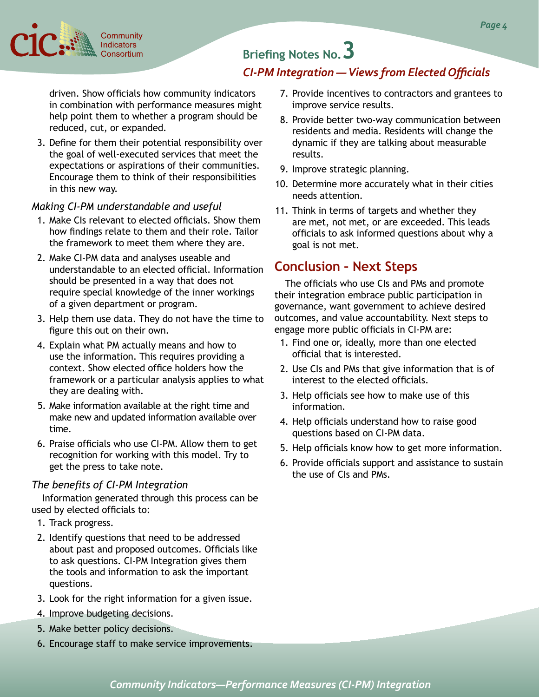

# **Briefing Notes No.3**

### *CI-PM Integration — Views from Elected Officials*

driven. Show officials how community indicators in combination with performance measures might help point them to whether a program should be reduced, cut, or expanded.

3. Define for them their potential responsibility over the goal of well-executed services that meet the expectations or aspirations of their communities. Encourage them to think of their responsibilities in this new way.

#### *Making CI-PM understandable and useful*

- 1. Make CIs relevant to elected officials. Show them how findings relate to them and their role. Tailor the framework to meet them where they are.
- 2. Make CI-PM data and analyses useable and understandable to an elected official. Information should be presented in a way that does not require special knowledge of the inner workings of a given department or program.
- 3. Help them use data. They do not have the time to figure this out on their own.
- 4. Explain what PM actually means and how to use the information. This requires providing a context. Show elected office holders how the framework or a particular analysis applies to what they are dealing with.
- 5. Make information available at the right time and make new and updated information available over time.
- 6. Praise officials who use CI-PM. Allow them to get recognition for working with this model. Try to get the press to take note.

#### *The benefits of CI-PM Integration*

Information generated through this process can be used by elected officials to:

- 1. Track progress.
- 2. Identify questions that need to be addressed about past and proposed outcomes. Officials like to ask questions. CI-PM Integration gives them the tools and information to ask the important questions.
- 3. Look for the right information for a given issue.
- 4. Improve budgeting decisions.
- 5. Make better policy decisions.
- 6. Encourage staff to make service improvements.
- 7. Provide incentives to contractors and grantees to improve service results.
- 8. Provide better two-way communication between residents and media. Residents will change the dynamic if they are talking about measurable results.
- 9. Improve strategic planning.
- 10. Determine more accurately what in their cities needs attention.
- 11. Think in terms of targets and whether they are met, not met, or are exceeded. This leads officials to ask informed questions about why a goal is not met.

## **Conclusion – Next Steps**

The officials who use CIs and PMs and promote their integration embrace public participation in governance, want government to achieve desired outcomes, and value accountability. Next steps to engage more public officials in CI-PM are:

- 1. Find one or, ideally, more than one elected official that is interested.
- 2. Use CIs and PMs that give information that is of interest to the elected officials.
- 3. Help officials see how to make use of this information.
- 4. Help officials understand how to raise good questions based on CI-PM data.
- 5. Help officials know how to get more information.
- 6. Provide officials support and assistance to sustain the use of CIs and PMs.